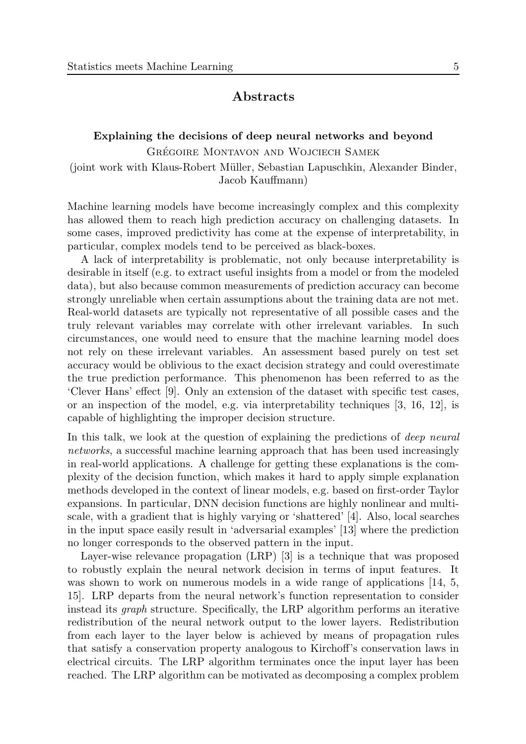## Abstracts

# Explaining the decisions of deep neural networks and beyond GRÉGOIRE MONTAVON AND WOJCIECH SAMEK (joint work with Klaus-Robert M¨uller, Sebastian Lapuschkin, Alexander Binder,

Jacob Kauffmann)

Machine learning models have become increasingly complex and this complexity has allowed them to reach high prediction accuracy on challenging datasets. In some cases, improved predictivity has come at the expense of interpretability, in particular, complex models tend to be perceived as black-boxes.

A lack of interpretability is problematic, not only because interpretability is desirable in itself (e.g. to extract useful insights from a model or from the modeled data), but also because common measurements of prediction accuracy can become strongly unreliable when certain assumptions about the training data are not met. Real-world datasets are typically not representative of all possible cases and the truly relevant variables may correlate with other irrelevant variables. In such circumstances, one would need to ensure that the machine learning model does not rely on these irrelevant variables. An assessment based purely on test set accuracy would be oblivious to the exact decision strategy and could overestimate the true prediction performance. This phenomenon has been referred to as the 'Clever Hans' effect [\[9\]](#page-2-0). Only an extension of the dataset with specific test cases, or an inspection of the model, e.g. via interpretability techniques [\[3,](#page-2-1) [16,](#page-3-0) [12\]](#page-2-2), is capable of highlighting the improper decision structure.

In this talk, we look at the question of explaining the predictions of *deep neural* networks, a successful machine learning approach that has been used increasingly in real-world applications. A challenge for getting these explanations is the complexity of the decision function, which makes it hard to apply simple explanation methods developed in the context of linear models, e.g. based on first-order Taylor expansions. In particular, DNN decision functions are highly nonlinear and multiscale, with a gradient that is highly varying or 'shattered' [\[4\]](#page-2-3). Also, local searches in the input space easily result in 'adversarial examples' [\[13\]](#page-2-4) where the prediction no longer corresponds to the observed pattern in the input.

Layer-wise relevance propagation (LRP) [\[3\]](#page-2-1) is a technique that was proposed to robustly explain the neural network decision in terms of input features. It was shown to work on numerous models in a wide range of applications [\[14,](#page-2-5) [5,](#page-2-6) [15\]](#page-3-1). LRP departs from the neural network's function representation to consider instead its graph structure. Specifically, the LRP algorithm performs an iterative redistribution of the neural network output to the lower layers. Redistribution from each layer to the layer below is achieved by means of propagation rules that satisfy a conservation property analogous to Kirchoff's conservation laws in electrical circuits. The LRP algorithm terminates once the input layer has been reached. The LRP algorithm can be motivated as decomposing a complex problem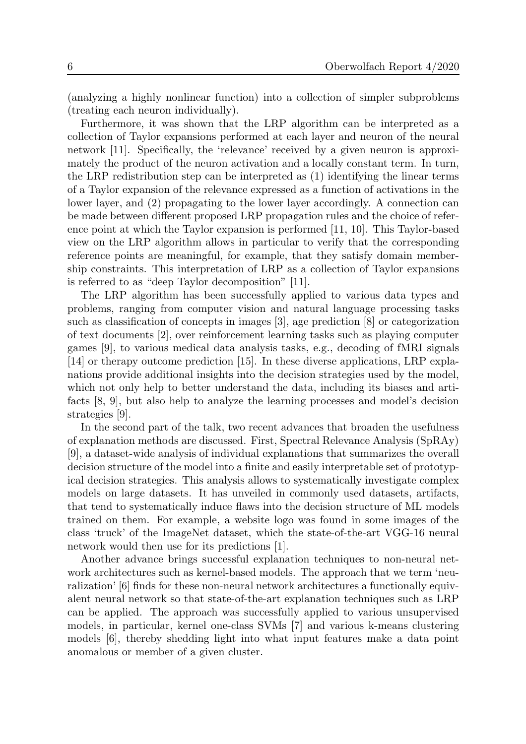(analyzing a highly nonlinear function) into a collection of simpler subproblems (treating each neuron individually).

Furthermore, it was shown that the LRP algorithm can be interpreted as a collection of Taylor expansions performed at each layer and neuron of the neural network [\[11\]](#page-2-7). Specifically, the 'relevance' received by a given neuron is approximately the product of the neuron activation and a locally constant term. In turn, the LRP redistribution step can be interpreted as (1) identifying the linear terms of a Taylor expansion of the relevance expressed as a function of activations in the lower layer, and (2) propagating to the lower layer accordingly. A connection can be made between different proposed LRP propagation rules and the choice of reference point at which the Taylor expansion is performed [\[11,](#page-2-7) [10\]](#page-2-8). This Taylor-based view on the LRP algorithm allows in particular to verify that the corresponding reference points are meaningful, for example, that they satisfy domain membership constraints. This interpretation of LRP as a collection of Taylor expansions is referred to as "deep Taylor decomposition" [\[11\]](#page-2-7).

The LRP algorithm has been successfully applied to various data types and problems, ranging from computer vision and natural language processing tasks such as classification of concepts in images [\[3\]](#page-2-1), age prediction [\[8\]](#page-2-9) or categorization of text documents [\[2\]](#page-2-10), over reinforcement learning tasks such as playing computer games [\[9\]](#page-2-0), to various medical data analysis tasks, e.g., decoding of fMRI signals [\[14\]](#page-2-5) or therapy outcome prediction [\[15\]](#page-3-1). In these diverse applications, LRP explanations provide additional insights into the decision strategies used by the model, which not only help to better understand the data, including its biases and artifacts [\[8,](#page-2-9) [9\]](#page-2-0), but also help to analyze the learning processes and model's decision strategies [\[9\]](#page-2-0).

In the second part of the talk, two recent advances that broaden the usefulness of explanation methods are discussed. First, Spectral Relevance Analysis (SpRAy) [\[9\]](#page-2-0), a dataset-wide analysis of individual explanations that summarizes the overall decision structure of the model into a finite and easily interpretable set of prototypical decision strategies. This analysis allows to systematically investigate complex models on large datasets. It has unveiled in commonly used datasets, artifacts, that tend to systematically induce flaws into the decision structure of ML models trained on them. For example, a website logo was found in some images of the class 'truck' of the ImageNet dataset, which the state-of-the-art VGG-16 neural network would then use for its predictions [\[1\]](#page-2-11).

Another advance brings successful explanation techniques to non-neural network architectures such as kernel-based models. The approach that we term 'neuralization' [\[6\]](#page-2-12) finds for these non-neural network architectures a functionally equivalent neural network so that state-of-the-art explanation techniques such as LRP can be applied. The approach was successfully applied to various unsupervised models, in particular, kernel one-class SVMs [\[7\]](#page-2-13) and various k-means clustering models [\[6\]](#page-2-12), thereby shedding light into what input features make a data point anomalous or member of a given cluster.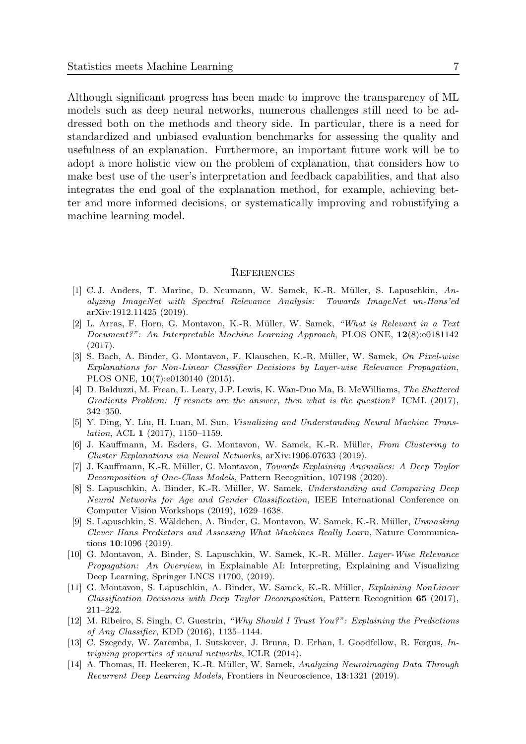Although significant progress has been made to improve the transparency of ML models such as deep neural networks, numerous challenges still need to be addressed both on the methods and theory side. In particular, there is a need for standardized and unbiased evaluation benchmarks for assessing the quality and usefulness of an explanation. Furthermore, an important future work will be to adopt a more holistic view on the problem of explanation, that considers how to make best use of the user's interpretation and feedback capabilities, and that also integrates the end goal of the explanation method, for example, achieving better and more informed decisions, or systematically improving and robustifying a machine learning model.

#### **REFERENCES**

- <span id="page-2-11"></span>[1] C. J. Anders, T. Marinc, D. Neumann, W. Samek, K.-R. Müller, S. Lapuschkin, Analyzing ImageNet with Spectral Relevance Analysis: Towards ImageNet un-Hans'ed arXiv:1912.11425 (2019).
- <span id="page-2-10"></span>[2] L. Arras, F. Horn, G. Montavon, K.-R. Müller, W. Samek, "What is Relevant in a Text Document?": An Interpretable Machine Learning Approach, PLOS ONE, 12(8):e0181142 (2017).
- <span id="page-2-1"></span>[3] S. Bach, A. Binder, G. Montavon, F. Klauschen, K.-R. M¨uller, W. Samek, On Pixel-wise Explanations for Non-Linear Classifier Decisions by Layer-wise Relevance Propagation, PLOS ONE, 10(7):e0130140 (2015).
- <span id="page-2-6"></span><span id="page-2-3"></span>[4] D. Balduzzi, M. Frean, L. Leary, J.P. Lewis, K. Wan-Duo Ma, B. McWilliams, The Shattered Gradients Problem: If resnets are the answer, then what is the question? ICML (2017), 342–350.
- <span id="page-2-12"></span>[5] Y. Ding, Y. Liu, H. Luan, M. Sun, Visualizing and Understanding Neural Machine Translation, ACL 1 (2017), 1150–1159.
- <span id="page-2-13"></span>[6] J. Kauffmann, M. Esders, G. Montavon, W. Samek, K.-R. Müller, From Clustering to Cluster Explanations via Neural Networks, arXiv:1906.07633 (2019).
- <span id="page-2-9"></span>[7] J. Kauffmann, K.-R. M¨uller, G. Montavon, Towards Explaining Anomalies: A Deep Taylor Decomposition of One-Class Models, Pattern Recognition, 107198 (2020).
- <span id="page-2-0"></span>[8] S. Lapuschkin, A. Binder, K.-R. Müller, W. Samek, Understanding and Comparing Deep Neural Networks for Age and Gender Classification, IEEE International Conference on Computer Vision Workshops (2019), 1629–1638.
- <span id="page-2-8"></span><span id="page-2-7"></span>[9] S. Lapuschkin, S. Wäldchen, A. Binder, G. Montavon, W. Samek, K.-R. Müller, Unmasking Clever Hans Predictors and Assessing What Machines Really Learn, Nature Communications 10:1096 (2019).
- <span id="page-2-2"></span>[10] G. Montavon, A. Binder, S. Lapuschkin, W. Samek, K.-R. Müller. Layer-Wise Relevance Propagation: An Overview, in Explainable AI: Interpreting, Explaining and Visualizing Deep Learning, Springer LNCS 11700, (2019).
- <span id="page-2-5"></span><span id="page-2-4"></span>[11] G. Montavon, S. Lapuschkin, A. Binder, W. Samek, K.-R. Müller, Explaining NonLinear Classification Decisions with Deep Taylor Decomposition, Pattern Recognition 65 (2017), 211–222.
- [12] M. Ribeiro, S. Singh, C. Guestrin, "Why Should I Trust You?": Explaining the Predictions of Any Classifier, KDD (2016), 1135–1144.
- [13] C. Szegedy, W. Zaremba, I. Sutskever, J. Bruna, D. Erhan, I. Goodfellow, R. Fergus, Intriguing properties of neural networks, ICLR (2014).
- [14] A. Thomas, H. Heekeren, K.-R. M¨uller, W. Samek, Analyzing Neuroimaging Data Through Recurrent Deep Learning Models, Frontiers in Neuroscience, 13:1321 (2019).